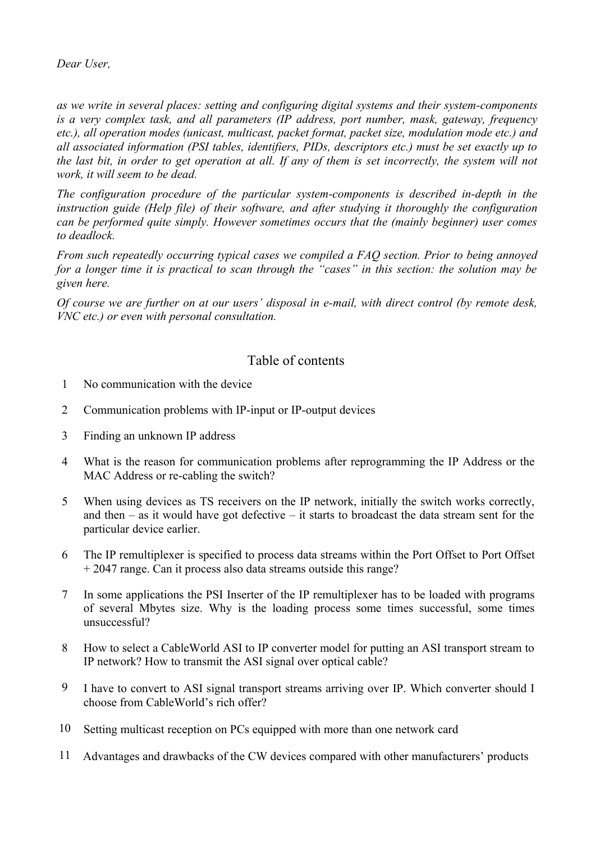*as we write in several places: setting and configuring digital systems and their system-components is a very complex task, and all parameters (IP address, port number, mask, gateway, frequency etc.), all operation modes (unicast, multicast, packet format, packet size, modulation mode etc.) and all associated information (PSI tables, identifiers, PIDs, descriptors etc.) must be set exactly up to the last bit, in order to get operation at all. If any of them is set incorrectly, the system will not work, it will seem to be dead.*

*The configuration procedure of the particular system-components is described in-depth in the instruction guide (Help file) of their software, and after studying it thoroughly the configuration can be performed quite simply. However sometimes occurs that the (mainly beginner) user comes to deadlock.*

*From such repeatedly occurring typical cases we compiled a FAQ section. Prior to being annoyed for a longer time it is practical to scan through the "cases" in this section: the solution may be given here.*

*Of course we are further on at our users' disposal in e-mail, with direct control (by remote desk, VNC etc.) or even with personal consultation.*

# Table of contents

- 1 No communication with the device
- 2 Communication problems with IP-input or IP-output devices
- 3 Finding an unknown IP address
- 4 What is the reason for communication problems after reprogramming the IP Address or the MAC Address or re-cabling the switch?
- 5 When using devices as TS receivers on the IP network, initially the switch works correctly, and then  $-$  as it would have got defective  $-$  it starts to broadcast the data stream sent for the particular device earlier.
- 6 The IP remultiplexer is specified to process data streams within the Port Offset to Port Offset + 2047 range. Can it process also data streams outside this range?
- 7 In some applications the PSI Inserter of the IP remultiplexer has to be loaded with programs of several Mbytes size. Why is the loading process some times successful, some times unsuccessful?
- 8 How to select a CableWorld ASI to IP converter model for putting an ASI transport stream to IP network? How to transmit the ASI signal over optical cable?
- 9 I have to convert to ASI signal transport streams arriving over IP. Which converter should I choose from CableWorld's rich offer?
- 10 Setting multicast reception on PCs equipped with more than one network card
- 11 Advantages and drawbacks of the CW devices compared with other manufacturers' products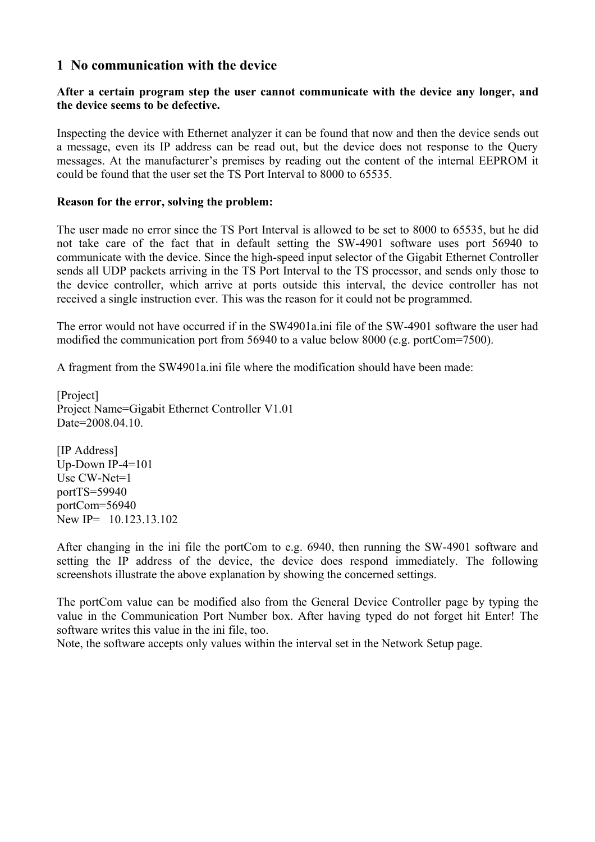### **1 No communication with the device**

#### **After a certain program step the user cannot communicate with the device any longer, and the device seems to be defective.**

Inspecting the device with Ethernet analyzer it can be found that now and then the device sends out a message, even its IP address can be read out, but the device does not response to the Query messages. At the manufacturer's premises by reading out the content of the internal EEPROM it could be found that the user set the TS Port Interval to 8000 to 65535.

#### **Reason for the error, solving the problem:**

The user made no error since the TS Port Interval is allowed to be set to 8000 to 65535, but he did not take care of the fact that in default setting the SW-4901 software uses port 56940 to communicate with the device. Since the high-speed input selector of the Gigabit Ethernet Controller sends all UDP packets arriving in the TS Port Interval to the TS processor, and sends only those to the device controller, which arrive at ports outside this interval, the device controller has not received a single instruction ever. This was the reason for it could not be programmed.

The error would not have occurred if in the SW4901a.ini file of the SW-4901 software the user had modified the communication port from 56940 to a value below 8000 (e.g. portCom=7500).

A fragment from the SW4901a.ini file where the modification should have been made:

[Project] Project Name=Gigabit Ethernet Controller V1.01 Date=2008.04.10.

[IP Address] Up-Down IP-4=101 Use CW-Net=1 portTS=59940 portCom=56940 New IP= 10.123.13.102

After changing in the ini file the portCom to e.g. 6940, then running the SW-4901 software and setting the IP address of the device, the device does respond immediately. The following screenshots illustrate the above explanation by showing the concerned settings.

The portCom value can be modified also from the General Device Controller page by typing the value in the Communication Port Number box. After having typed do not forget hit Enter! The software writes this value in the ini file, too.

Note, the software accepts only values within the interval set in the Network Setup page.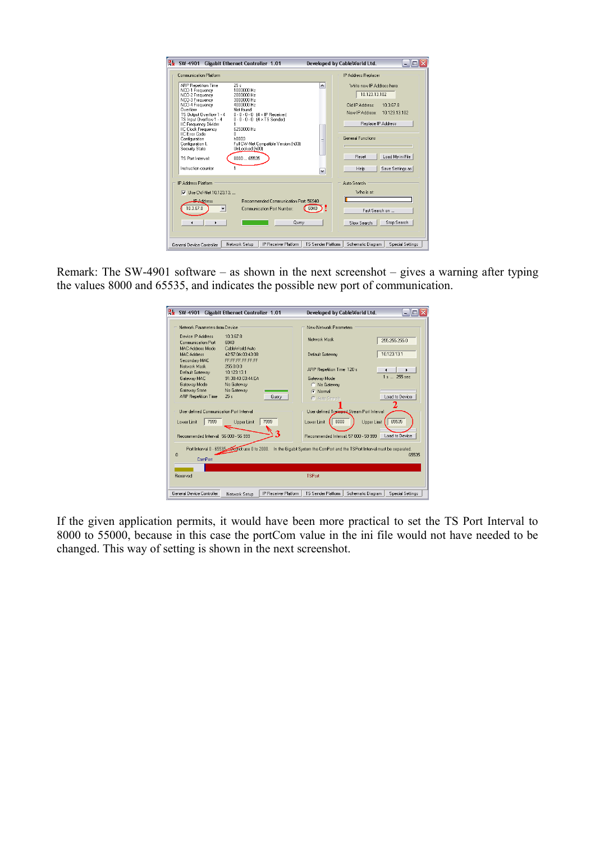| $\mathbf{g}_{\mathbf{r}}$<br>SW-4901<br><b>Gigabit Ethernet Controller 1.01</b>                                                                                                                                                                                                                                                                                                                                                                                                                                                                                                                                 | - 10<br>Developed by CableWorld Ltd.                                                                                                                                                                     |  |  |  |
|-----------------------------------------------------------------------------------------------------------------------------------------------------------------------------------------------------------------------------------------------------------------------------------------------------------------------------------------------------------------------------------------------------------------------------------------------------------------------------------------------------------------------------------------------------------------------------------------------------------------|----------------------------------------------------------------------------------------------------------------------------------------------------------------------------------------------------------|--|--|--|
| Communication Platform                                                                                                                                                                                                                                                                                                                                                                                                                                                                                                                                                                                          | IP Address Replacer                                                                                                                                                                                      |  |  |  |
| 25s<br>ARP Repetition Time<br>100000 Hz<br>NCO-1 Frequency<br>NCO-2 Frequency<br>2000000 Hz<br>NCO-3 Frequency<br>3000000 Hz<br>NCO-4 Frequency<br>4000000 Hz<br><b>Nverflow</b><br>Not found<br>TS Output Overflow 1 - 4<br>$0.0.0.0$ $(4 \times 1)$ P Receiver)<br>TS Input Overflow 1 - 4<br>$0.0.0.0$ $(4 \times 15$ Sender)<br><b>IIC Frequency Divider</b><br>6250000 Hz<br><b>IIC Clock Frequency</b><br><b>IIC Error Code</b><br>n.<br>hnnn3<br>Configuration<br>Full CW-Net Compatible Version (h03)<br>Configuration I.<br>UnLocked (h00)<br>Security State<br>8000 65535<br><b>TS Port Interval:</b> | Write new IP Address here:<br>۸<br>1012313102<br><b>Old IP Address:</b><br>10.367.8<br>New IP Address: 10 123 13 102<br>Replace IP Address<br><b>General Functions</b><br>Ξ<br>Load My ini File<br>Reset |  |  |  |
| Instruction counter                                                                                                                                                                                                                                                                                                                                                                                                                                                                                                                                                                                             | Save Settings as<br>Help<br>v                                                                                                                                                                            |  |  |  |
| <b>IP Address Platform</b><br>Auto Search<br>Who is at:<br>Hse CW-Net 10 123 13<br>M<br>Becommended Communication Port: 56940<br><b>IPAddress</b><br>10.3.67.8<br>Communication Port Number:<br>Fast Search on<br>Stop Search<br>Query<br>Slow Search                                                                                                                                                                                                                                                                                                                                                           |                                                                                                                                                                                                          |  |  |  |
| Network Setup<br>IP Receiver Platform<br>General Device Controller                                                                                                                                                                                                                                                                                                                                                                                                                                                                                                                                              | TS Sender Platform<br>Special Settings<br>Schematic Diagram                                                                                                                                              |  |  |  |

Remark: The SW-4901 software – as shown in the next screenshot – gives a warning after typing the values 8000 and 65535, and indicates the possible new port of communication.

| g,<br>SW-4901<br><b>Gigabit Ethernet Controller 1.01</b>                                                                        |                      | Developed by CableWorld Ltd.                                                 |                                                            | - 10                      |
|---------------------------------------------------------------------------------------------------------------------------------|----------------------|------------------------------------------------------------------------------|------------------------------------------------------------|---------------------------|
| Network Parameters from Device                                                                                                  |                      | New Network Parameters                                                       |                                                            |                           |
| 103678<br>Device IP Address<br>Communication Port<br>6940                                                                       |                      | Network Mask                                                                 |                                                            | 255 255 255 0             |
| CableWorld Auto<br>MAC Address Mode<br><b>MAC Address</b><br>42:57:04:03:43:08<br>Secondary MAC<br>FF-FF-FF-FF-FF-FF            |                      | Default Gateway                                                              |                                                            | 10123131                  |
| Network Mask<br>255.0.0.0<br>Default Gateway<br>10123131                                                                        |                      | ARP Repetition Time 120 s                                                    |                                                            | ¥<br>$\blacktriangleleft$ |
| Gateway MAC<br>91:38:40:C0:44:EA                                                                                                |                      | Gateway Mode                                                                 |                                                            | $1s = 255$ sec            |
| Gateway Mode<br>No Gateway                                                                                                      |                      | C No Gateway                                                                 |                                                            |                           |
| Gateway State<br>No Gateway                                                                                                     |                      | C Normal                                                                     |                                                            |                           |
| <b>ARP Repetition Time</b><br>25s                                                                                               | Query                | C Anto Search                                                                |                                                            | Load to Device            |
| <b>Hiser defined Communication Port Interval</b><br>7999<br>Upper Limit<br>Lower Limit<br>Recommended Interval: 56 000 - 56 999 | 7999                 | 8000<br>Lower Limit<br>Becommended Interval: 57,000 - 59,999                 | User defined Transport Stream Port Interval<br>Upper Limit | 65535<br>Load to Device   |
| Port Interval 0 - 65535 Port use 0 to 2000.<br>n<br>ComPort                                                                     |                      | In the Gigabit System the ComPort and the TSPort Interval must be separated. |                                                            | 65535                     |
|                                                                                                                                 |                      |                                                                              |                                                            |                           |
| <b>Reserved</b>                                                                                                                 |                      | <b>TSPort</b>                                                                |                                                            |                           |
| General Device Controller<br>Network Setup                                                                                      | IP Receiver Platform | TS Sender Platform                                                           | Schematic Diagram                                          | <b>Special Settings</b>   |

If the given application permits, it would have been more practical to set the TS Port Interval to 8000 to 55000, because in this case the portCom value in the ini file would not have needed to be changed. This way of setting is shown in the next screenshot.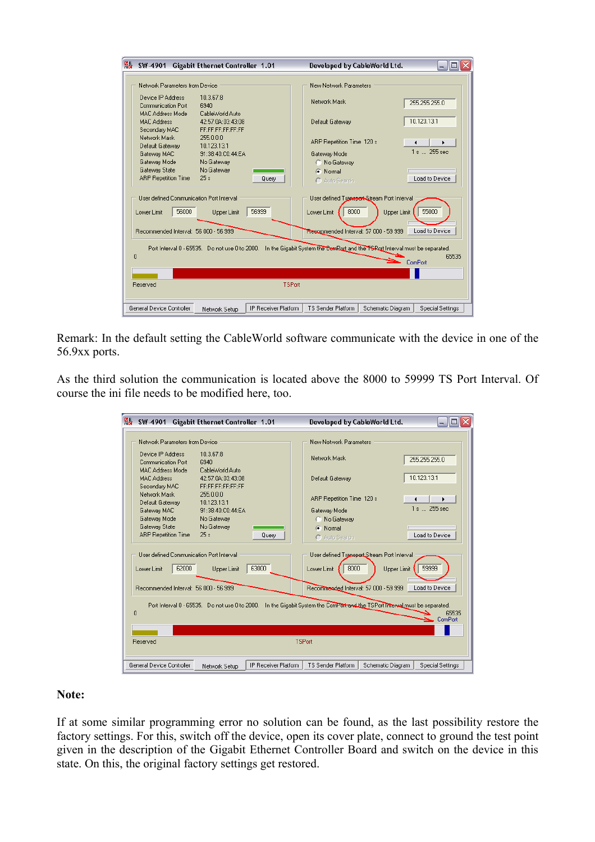| g,<br>SW-4901<br><b>Gigabit Ethernet Controller 1.01</b>                                                                                                                                                                                                                                           |                      | Developed by CableWorld Ltd. |                   | - 101                   |
|----------------------------------------------------------------------------------------------------------------------------------------------------------------------------------------------------------------------------------------------------------------------------------------------------|----------------------|------------------------------|-------------------|-------------------------|
| Network Parameters from Device                                                                                                                                                                                                                                                                     |                      | New Network Parameters       |                   |                         |
| 10.3.67.8<br>Device IP Address<br><b>Communication Port</b><br>6940                                                                                                                                                                                                                                |                      | Network Mask                 |                   | 255 255 255 0           |
| MAC Address Mode<br>CableWorld Auto<br><b>MAC Address</b><br>42:57:04:03:43:08<br>Secondary MAC<br>FE:FE:FE:FE:FE:FF                                                                                                                                                                               |                      | Default Gateway              |                   | 10.123.13.1             |
| Network Mask<br>255.0.0.0<br>10.123.13.1<br>Default Gateway                                                                                                                                                                                                                                        |                      | ARP Repetition Time 120 s    |                   |                         |
| 91:38:40:C0:44:EA<br>Gateway MAC                                                                                                                                                                                                                                                                   |                      | Gateway Mode                 |                   | 1 s  255 sec            |
| Gateway Mode<br>No Gateway                                                                                                                                                                                                                                                                         |                      | C No Gateway                 |                   |                         |
| Gateway State<br>No Gateway                                                                                                                                                                                                                                                                        |                      | Normal<br>Œ                  |                   |                         |
| <b>ARP Repetition Time</b><br>25s                                                                                                                                                                                                                                                                  | Query                | C Auto Search                |                   | Load to Device          |
| User defined Communication Port Interval<br>User defined Transport-Stream Port Interval<br>55000<br>56999<br>8000<br>56000<br>Lower Limit<br><b>Upper Limit</b><br>Lower Limit<br>Upper Limit<br>Resommended Interval: 57 000 - 59 999.<br>Recommended Interval: 56 000 - 56 999<br>Load to Device |                      |                              |                   |                         |
| Port Interval 0 - 65535. Do not use 0 to 2000. In the Gigabit System the ComPort and the TSRott Interval must be separated.<br>65535<br>n<br>ComPort                                                                                                                                               |                      |                              |                   |                         |
|                                                                                                                                                                                                                                                                                                    |                      |                              |                   |                         |
| <b>Reserved</b>                                                                                                                                                                                                                                                                                    | <b>TSPort</b>        |                              |                   |                         |
| General Device Controller<br>Network Setup                                                                                                                                                                                                                                                         | IP Receiver Platform | <b>TS Sender Platform</b>    | Schematic Diagram | <b>Special Settings</b> |

Remark: In the default setting the CableWorld software communicate with the device in one of the 56.9xx ports.

As the third solution the communication is located above the 8000 to 59999 TS Port Interval. Of course the ini file needs to be modified here, too.

| 晶<br>SW-4901                                                                                                                                            | <b>Gigabit Ethernet Controller 1.01</b>                   |               | Developed by CableWorld Ltd.          |                                             | пı               |
|---------------------------------------------------------------------------------------------------------------------------------------------------------|-----------------------------------------------------------|---------------|---------------------------------------|---------------------------------------------|------------------|
| Network Parameters from Device                                                                                                                          |                                                           |               | New Network Parameters                |                                             |                  |
| Device IP Address<br><b>Communication Port</b>                                                                                                          | 10.3.67.8<br>6940                                         |               | Network Mask                          |                                             | 255.255.255.0    |
| <b>MAC Address Mode</b><br><b>MAC Address</b><br>Secondary MAC                                                                                          | CableWorld Auto<br>42:57:04:03:43:08<br>FE:FE:FE:FE:FE:FF |               | Default Gateway                       |                                             | 10.123.13.1      |
| Network Mask<br>Default Gateway                                                                                                                         | 255.0.0.0<br>10.123.13.1                                  |               | ARP Repetition Time 120 s             |                                             |                  |
| Gateway MAC<br>Gateway Mode                                                                                                                             | 91:38:40:C0:44:EA<br>No Gateway                           |               | Gateway Mode<br>C No Gateway          |                                             | 1 s  255 sec     |
| Gateway State<br><b>ARP Repetition Time</b>                                                                                                             | No Gateway<br>25s<br>Querv                                |               | C Normal<br>C Auto Search             |                                             | Load to Device   |
| User defined Communication Port Interval                                                                                                                |                                                           |               |                                       | User defined Transport Stream Port Interval |                  |
| 62000<br>Lower Limit                                                                                                                                    | 63000<br><b>Upper Limit</b>                               |               | 8000<br>Lower Limit                   | Upper Limit                                 | 59999            |
| Recommended Interval: 56 000 - 56 999                                                                                                                   |                                                           |               | Recommended Interval: 57 000 - 59 999 |                                             | Load to Device   |
| Port Interval 0 - 65535. Do not use 0 to 2000.<br>In the Gigabit System the ComPort and the TSPort Interval must be separated.<br>65535<br>۵<br>ComPort |                                                           |               |                                       |                                             |                  |
|                                                                                                                                                         |                                                           |               |                                       |                                             |                  |
| Reserved                                                                                                                                                |                                                           | <b>TSPort</b> |                                       |                                             |                  |
| General Device Controller                                                                                                                               | IP Receiver Platform<br>Network Setup                     |               | <b>TS Sender Platform</b>             | Schematic Diagram                           | Special Settings |

#### **Note:**

If at some similar programming error no solution can be found, as the last possibility restore the factory settings. For this, switch off the device, open its cover plate, connect to ground the test point given in the description of the Gigabit Ethernet Controller Board and switch on the device in this state. On this, the original factory settings get restored.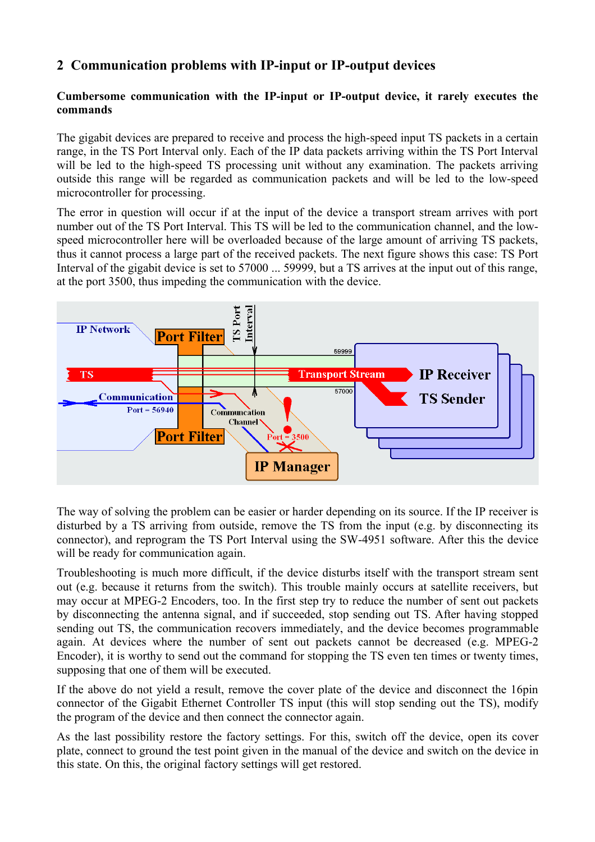# **2 Communication problems with IP-input or IP-output devices**

#### **Cumbersome communication with the IP-input or IP-output device, it rarely executes the commands**

The gigabit devices are prepared to receive and process the high-speed input TS packets in a certain range, in the TS Port Interval only. Each of the IP data packets arriving within the TS Port Interval will be led to the high-speed TS processing unit without any examination. The packets arriving outside this range will be regarded as communication packets and will be led to the low-speed microcontroller for processing.

The error in question will occur if at the input of the device a transport stream arrives with port number out of the TS Port Interval. This TS will be led to the communication channel, and the lowspeed microcontroller here will be overloaded because of the large amount of arriving TS packets, thus it cannot process a large part of the received packets. The next figure shows this case: TS Port Interval of the gigabit device is set to 57000 ... 59999, but a TS arrives at the input out of this range, at the port 3500, thus impeding the communication with the device.



The way of solving the problem can be easier or harder depending on its source. If the IP receiver is disturbed by a TS arriving from outside, remove the TS from the input (e.g. by disconnecting its connector), and reprogram the TS Port Interval using the SW-4951 software. After this the device will be ready for communication again.

Troubleshooting is much more difficult, if the device disturbs itself with the transport stream sent out (e.g. because it returns from the switch). This trouble mainly occurs at satellite receivers, but may occur at MPEG-2 Encoders, too. In the first step try to reduce the number of sent out packets by disconnecting the antenna signal, and if succeeded, stop sending out TS. After having stopped sending out TS, the communication recovers immediately, and the device becomes programmable again. At devices where the number of sent out packets cannot be decreased (e.g. MPEG-2 Encoder), it is worthy to send out the command for stopping the TS even ten times or twenty times, supposing that one of them will be executed.

If the above do not yield a result, remove the cover plate of the device and disconnect the 16pin connector of the Gigabit Ethernet Controller TS input (this will stop sending out the TS), modify the program of the device and then connect the connector again.

As the last possibility restore the factory settings. For this, switch off the device, open its cover plate, connect to ground the test point given in the manual of the device and switch on the device in this state. On this, the original factory settings will get restored.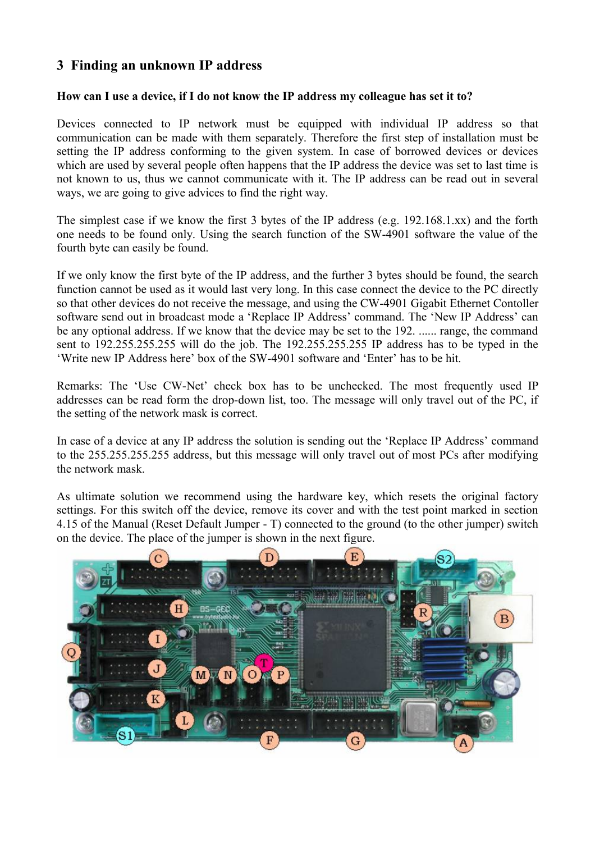# **3 Finding an unknown IP address**

#### **How can I use a device, if I do not know the IP address my colleague has set it to?**

Devices connected to IP network must be equipped with individual IP address so that communication can be made with them separately. Therefore the first step of installation must be setting the IP address conforming to the given system. In case of borrowed devices or devices which are used by several people often happens that the IP address the device was set to last time is not known to us, thus we cannot communicate with it. The IP address can be read out in several ways, we are going to give advices to find the right way.

The simplest case if we know the first 3 bytes of the IP address (e.g. 192.168.1.xx) and the forth one needs to be found only. Using the search function of the SW-4901 software the value of the fourth byte can easily be found.

If we only know the first byte of the IP address, and the further 3 bytes should be found, the search function cannot be used as it would last very long. In this case connect the device to the PC directly so that other devices do not receive the message, and using the CW-4901 Gigabit Ethernet Contoller software send out in broadcast mode a 'Replace IP Address' command. The 'New IP Address' can be any optional address. If we know that the device may be set to the 192. ...... range, the command sent to 192.255.255.255 will do the job. The 192.255.255.255 IP address has to be typed in the 'Write new IP Address here' box of the SW-4901 software and 'Enter' has to be hit.

Remarks: The 'Use CW-Net' check box has to be unchecked. The most frequently used IP addresses can be read form the drop-down list, too. The message will only travel out of the PC, if the setting of the network mask is correct.

In case of a device at any IP address the solution is sending out the 'Replace IP Address' command to the 255.255.255.255 address, but this message will only travel out of most PCs after modifying the network mask.

As ultimate solution we recommend using the hardware key, which resets the original factory settings. For this switch off the device, remove its cover and with the test point marked in section 4.15 of the Manual (Reset Default Jumper - T) connected to the ground (to the other jumper) switch on the device. The place of the jumper is shown in the next figure.

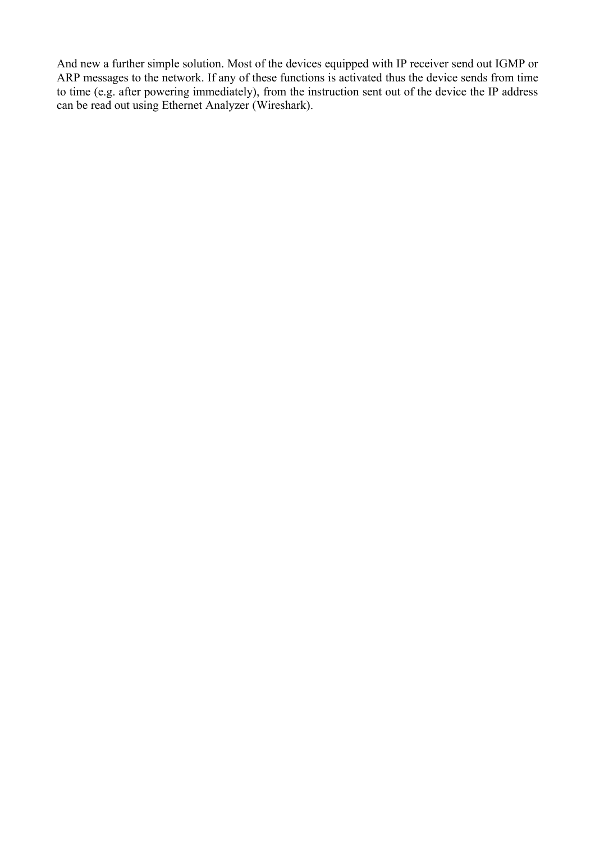And new a further simple solution. Most of the devices equipped with IP receiver send out IGMP or ARP messages to the network. If any of these functions is activated thus the device sends from time to time (e.g. after powering immediately), from the instruction sent out of the device the IP address can be read out using Ethernet Analyzer (Wireshark).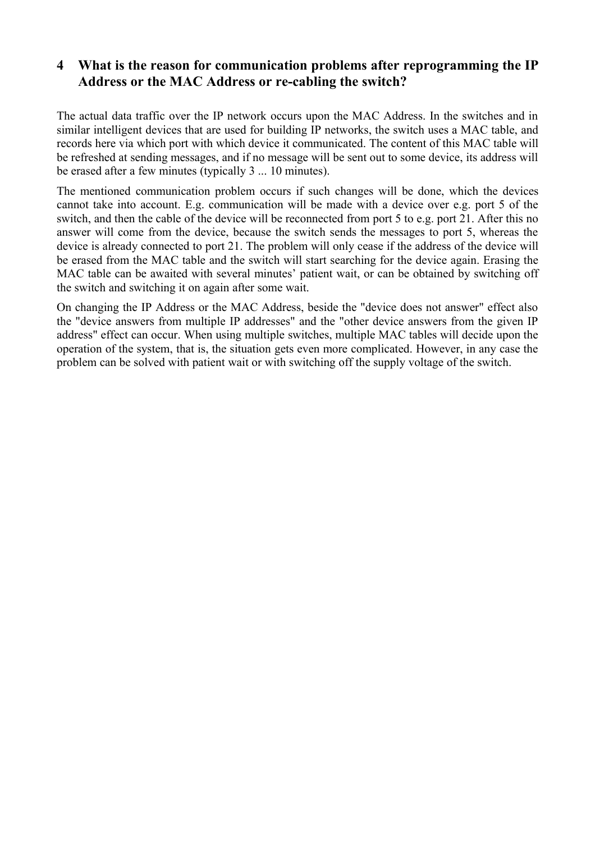# **4 What is the reason for communication problems after reprogramming the IP Address or the MAC Address or re-cabling the switch?**

The actual data traffic over the IP network occurs upon the MAC Address. In the switches and in similar intelligent devices that are used for building IP networks, the switch uses a MAC table, and records here via which port with which device it communicated. The content of this MAC table will be refreshed at sending messages, and if no message will be sent out to some device, its address will be erased after a few minutes (typically 3 ... 10 minutes).

The mentioned communication problem occurs if such changes will be done, which the devices cannot take into account. E.g. communication will be made with a device over e.g. port 5 of the switch, and then the cable of the device will be reconnected from port 5 to e.g. port 21. After this no answer will come from the device, because the switch sends the messages to port 5, whereas the device is already connected to port 21. The problem will only cease if the address of the device will be erased from the MAC table and the switch will start searching for the device again. Erasing the MAC table can be awaited with several minutes' patient wait, or can be obtained by switching off the switch and switching it on again after some wait.

On changing the IP Address or the MAC Address, beside the "device does not answer" effect also the "device answers from multiple IP addresses" and the "other device answers from the given IP address" effect can occur. When using multiple switches, multiple MAC tables will decide upon the operation of the system, that is, the situation gets even more complicated. However, in any case the problem can be solved with patient wait or with switching off the supply voltage of the switch.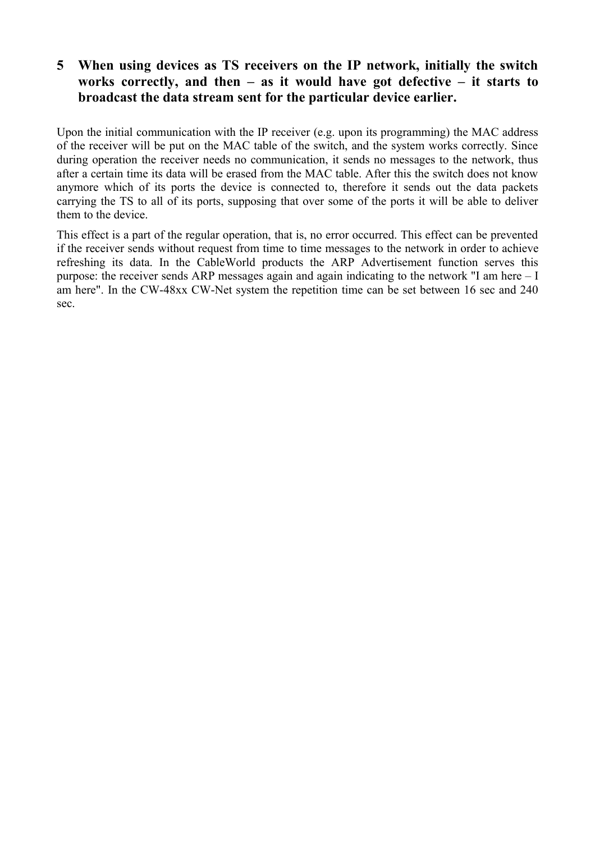# **5 When using devices as TS receivers on the IP network, initially the switch works correctly, and then – as it would have got defective – it starts to broadcast the data stream sent for the particular device earlier.**

Upon the initial communication with the IP receiver (e.g. upon its programming) the MAC address of the receiver will be put on the MAC table of the switch, and the system works correctly. Since during operation the receiver needs no communication, it sends no messages to the network, thus after a certain time its data will be erased from the MAC table. After this the switch does not know anymore which of its ports the device is connected to, therefore it sends out the data packets carrying the TS to all of its ports, supposing that over some of the ports it will be able to deliver them to the device.

This effect is a part of the regular operation, that is, no error occurred. This effect can be prevented if the receiver sends without request from time to time messages to the network in order to achieve refreshing its data. In the CableWorld products the ARP Advertisement function serves this purpose: the receiver sends ARP messages again and again indicating to the network "I am here – I am here". In the CW-48xx CW-Net system the repetition time can be set between 16 sec and 240 sec.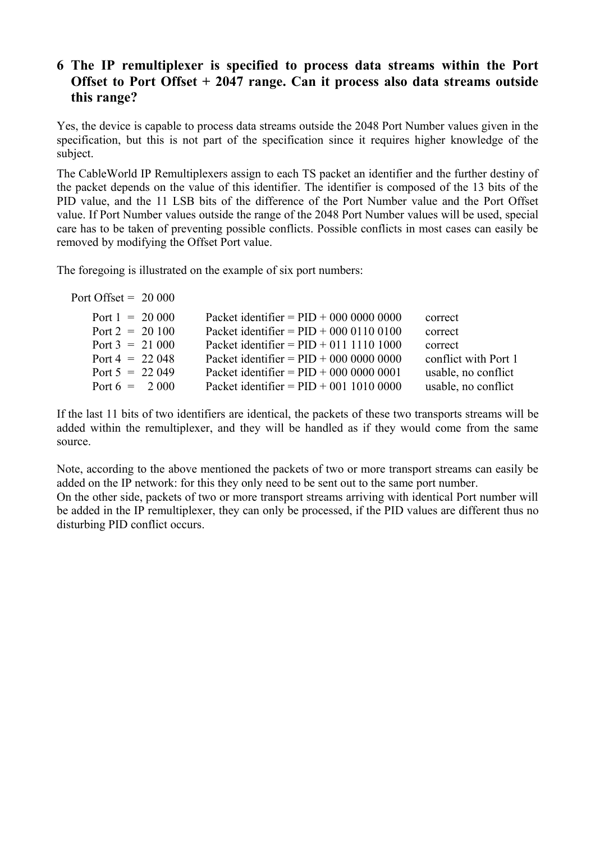# **6 The IP remultiplexer is specified to process data streams within the Port Offset to Port Offset + 2047 range. Can it process also data streams outside this range?**

Yes, the device is capable to process data streams outside the 2048 Port Number values given in the specification, but this is not part of the specification since it requires higher knowledge of the subject.

The CableWorld IP Remultiplexers assign to each TS packet an identifier and the further destiny of the packet depends on the value of this identifier. The identifier is composed of the 13 bits of the PID value, and the 11 LSB bits of the difference of the Port Number value and the Port Offset value. If Port Number values outside the range of the 2048 Port Number values will be used, special care has to be taken of preventing possible conflicts. Possible conflicts in most cases can easily be removed by modifying the Offset Port value.

The foregoing is illustrated on the example of six port numbers:

| Port Offset = $20000$ |                                           |                      |
|-----------------------|-------------------------------------------|----------------------|
| Port $1 = 20000$      | Packet identifier = $PID + 000 0000 0000$ | correct              |
| Port $2 = 20100$      | Packet identifier = $PID + 000 0110 0100$ | correct              |
| Port $3 = 21000$      | Packet identifier = $PID + 011 1110 1000$ | correct              |
| Port $4 = 22048$      | Packet identifier = $PID + 000 0000 0000$ | conflict with Port 1 |
| Port $5 = 22049$      | Packet identifier = $PID + 000 0000 0001$ | usable, no conflict  |
| Port $6 = 2000$       | Packet identifier = $PID + 001 1010 0000$ | usable, no conflict  |
|                       |                                           |                      |

If the last 11 bits of two identifiers are identical, the packets of these two transports streams will be added within the remultiplexer, and they will be handled as if they would come from the same source.

Note, according to the above mentioned the packets of two or more transport streams can easily be added on the IP network: for this they only need to be sent out to the same port number. On the other side, packets of two or more transport streams arriving with identical Port number will be added in the IP remultiplexer, they can only be processed, if the PID values are different thus no disturbing PID conflict occurs.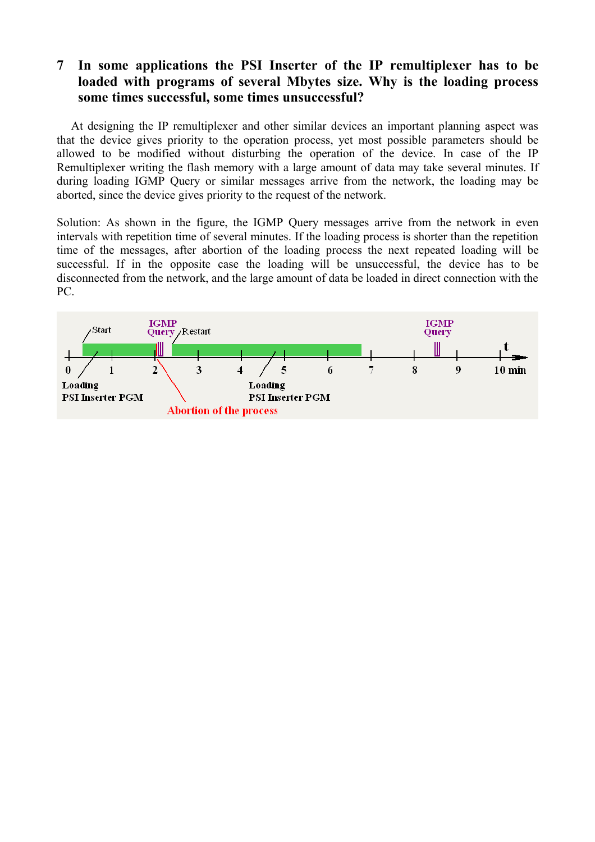# **7 In some applications the PSI Inserter of the IP remultiplexer has to be loaded with programs of several Mbytes size. Why is the loading process some times successful, some times unsuccessful?**

At designing the IP remultiplexer and other similar devices an important planning aspect was that the device gives priority to the operation process, yet most possible parameters should be allowed to be modified without disturbing the operation of the device. In case of the IP Remultiplexer writing the flash memory with a large amount of data may take several minutes. If during loading IGMP Query or similar messages arrive from the network, the loading may be aborted, since the device gives priority to the request of the network.

Solution: As shown in the figure, the IGMP Query messages arrive from the network in even intervals with repetition time of several minutes. If the loading process is shorter than the repetition time of the messages, after abortion of the loading process the next repeated loading will be successful. If in the opposite case the loading will be unsuccessful, the device has to be disconnected from the network, and the large amount of data be loaded in direct connection with the PC.

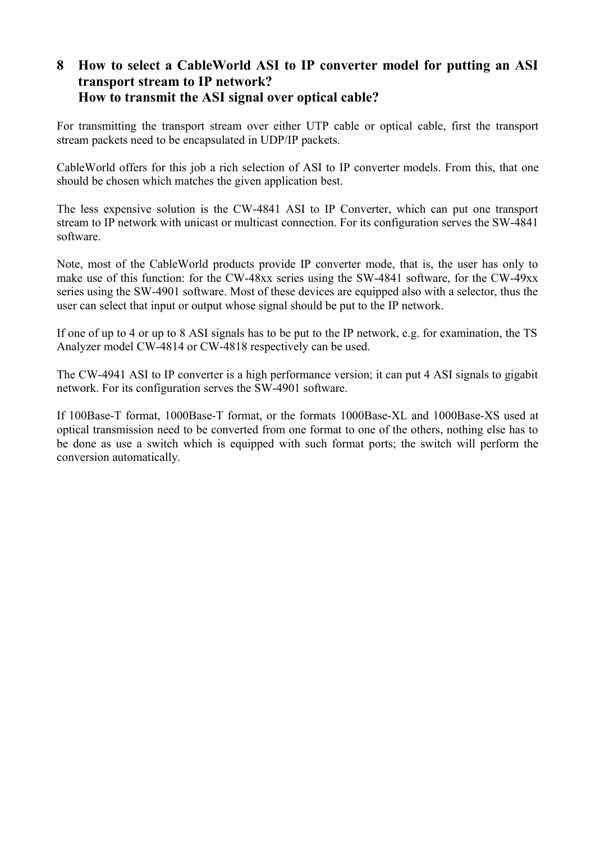## **8 How to select a CableWorld ASI to IP converter model for putting an ASI transport stream to IP network? How to transmit the ASI signal over optical cable?**

For transmitting the transport stream over either UTP cable or optical cable, first the transport stream packets need to be encapsulated in UDP/IP packets.

CableWorld offers for this job a rich selection of ASI to IP converter models. From this, that one should be chosen which matches the given application best.

The less expensive solution is the CW-4841 ASI to IP Converter, which can put one transport stream to IP network with unicast or multicast connection. For its configuration serves the SW-4841 software.

Note, most of the CableWorld products provide IP converter mode, that is, the user has only to make use of this function: for the CW-48xx series using the SW-4841 software, for the CW-49xx series using the SW-4901 software. Most of these devices are equipped also with a selector, thus the user can select that input or output whose signal should be put to the IP network.

If one of up to 4 or up to 8 ASI signals has to be put to the IP network, e.g. for examination, the TS Analyzer model CW-4814 or CW-4818 respectively can be used.

The CW-4941 ASI to IP converter is a high performance version; it can put 4 ASI signals to gigabit network. For its configuration serves the SW-4901 software.

If 100Base-T format, 1000Base-T format, or the formats 1000Base-XL and 1000Base-XS used at optical transmission need to be converted from one format to one of the others, nothing else has to be done as use a switch which is equipped with such format ports; the switch will perform the conversion automatically.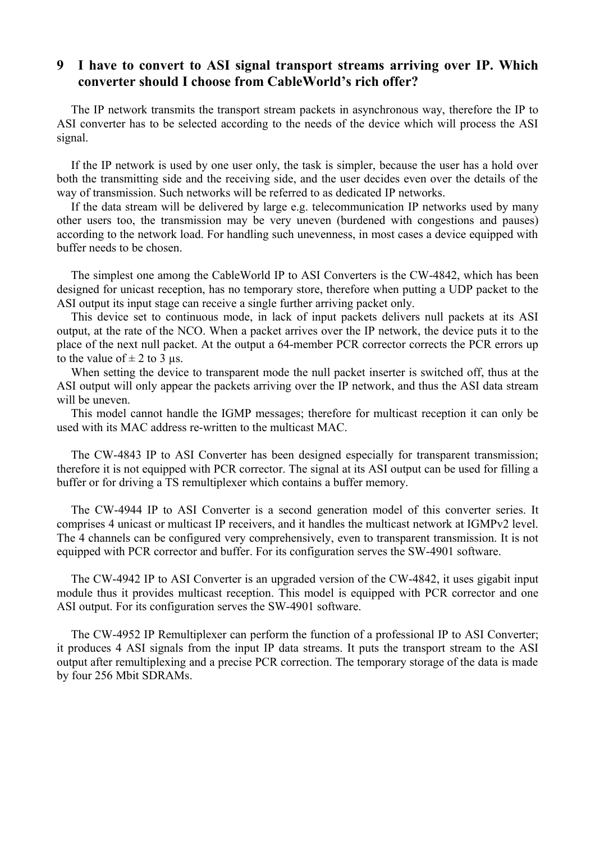### **9 I have to convert to ASI signal transport streams arriving over IP. Which converter should I choose from CableWorld's rich offer?**

The IP network transmits the transport stream packets in asynchronous way, therefore the IP to ASI converter has to be selected according to the needs of the device which will process the ASI signal.

If the IP network is used by one user only, the task is simpler, because the user has a hold over both the transmitting side and the receiving side, and the user decides even over the details of the way of transmission. Such networks will be referred to as dedicated IP networks.

If the data stream will be delivered by large e.g. telecommunication IP networks used by many other users too, the transmission may be very uneven (burdened with congestions and pauses) according to the network load. For handling such unevenness, in most cases a device equipped with buffer needs to be chosen.

The simplest one among the CableWorld IP to ASI Converters is the CW-4842, which has been designed for unicast reception, has no temporary store, therefore when putting a UDP packet to the ASI output its input stage can receive a single further arriving packet only.

This device set to continuous mode, in lack of input packets delivers null packets at its ASI output, at the rate of the NCO. When a packet arrives over the IP network, the device puts it to the place of the next null packet. At the output a 64-member PCR corrector corrects the PCR errors up to the value of  $\pm$  2 to 3 us.

When setting the device to transparent mode the null packet inserter is switched off, thus at the ASI output will only appear the packets arriving over the IP network, and thus the ASI data stream will be uneven.

This model cannot handle the IGMP messages; therefore for multicast reception it can only be used with its MAC address re-written to the multicast MAC.

The CW-4843 IP to ASI Converter has been designed especially for transparent transmission; therefore it is not equipped with PCR corrector. The signal at its ASI output can be used for filling a buffer or for driving a TS remultiplexer which contains a buffer memory.

The CW-4944 IP to ASI Converter is a second generation model of this converter series. It comprises 4 unicast or multicast IP receivers, and it handles the multicast network at IGMPv2 level. The 4 channels can be configured very comprehensively, even to transparent transmission. It is not equipped with PCR corrector and buffer. For its configuration serves the SW-4901 software.

The CW-4942 IP to ASI Converter is an upgraded version of the CW-4842, it uses gigabit input module thus it provides multicast reception. This model is equipped with PCR corrector and one ASI output. For its configuration serves the SW-4901 software.

The CW-4952 IP Remultiplexer can perform the function of a professional IP to ASI Converter; it produces 4 ASI signals from the input IP data streams. It puts the transport stream to the ASI output after remultiplexing and a precise PCR correction. The temporary storage of the data is made by four 256 Mbit SDRAMs.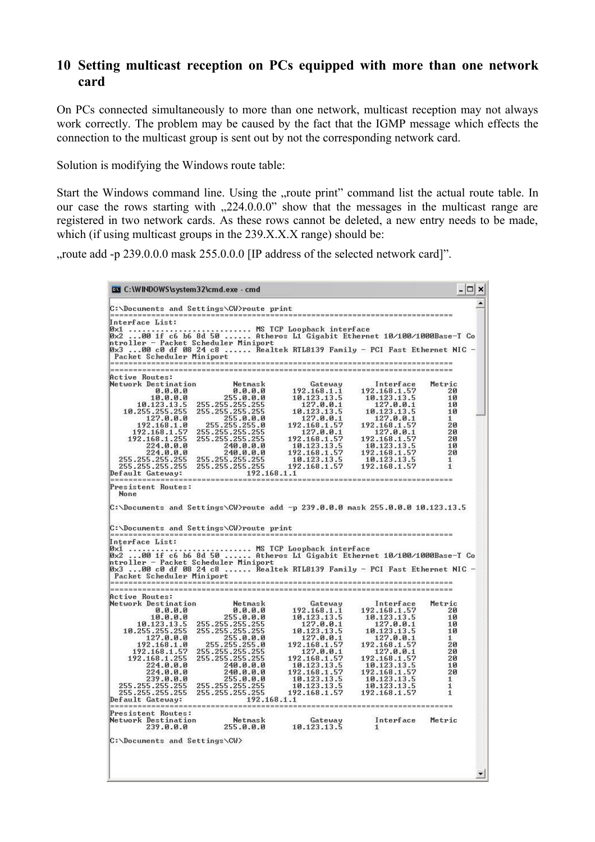### **10 Setting multicast reception on PCs equipped with more than one network card**

On PCs connected simultaneously to more than one network, multicast reception may not always work correctly. The problem may be caused by the fact that the IGMP message which effects the connection to the multicast group is sent out by not the corresponding network card.

Solution is modifying the Windows route table:

Start the Windows command line. Using the "route print" command list the actual route table. In our case the rows starting with  $0.224.0.00$ " show that the messages in the multicast range are registered in two network cards. As these rows cannot be deleted, a new entry needs to be made, which (if using multicast groups in the 239.X.X.X range) should be:

", route add -p 239.0.0.0 mask 255.0.0.0 [IP address of the selected network card]".

C:\WINDOWS\system32\cmd.exe - cmd  $\Box$   $\times$ C:\Documents and Settings\CW>route print Interface List: **Active Routes:** Active Routes:<br>
Network Destination<br>
0.0.0.0<br>
0.0.0.0<br>
10.0.0.0<br>
10.123.13.5<br>
10.255.255.255.255<br>
10.255.255.255<br>
127.0.0.0<br>
192.168.1.6<br>
192.168.1.5<br>
255.255.255.255.255<br>
192.168.1.5<br>
255.255.255.255.255<br>
192.168.1.5<br>
255 Gateway<br>192.168.1.1<br>10.123.13.5<br>127.0.0.1<br>127.0.0.1<br>192.168.1.57 Interface<br>192.168.1.57 Metric  $\frac{1}{20}$  $172.183.13.5$ <br>  $127.0.0.1$ <br>  $10.123.13.5$ <br>  $127.0.0.1$ <br>  $192.168.1.57$  $10$  $101$  $\frac{1}{20}$  $127.0.0.1$ <br>192.168.1.57  $127.0.0.1$ <br>192.168.1.57  $\frac{20}{20}$  $10.123.13.5$ <br>192.168.1.57  $224.0.0.0$  $240.0.0.0$ <br> $240.0.0.0$  $10.123.13.5$ <br>192.168.1.57  $\frac{10}{20}$ 255.255.255.255 255.255.255.255<br>255.255.255.255 255.255.255.255 10 123 13 5 10 123 13  $\frac{1}{1}$ 192.168.1.57 192.168.1.57 192.168.1.1 Default Gateway: ----------------Presistent Routes:  $C:\Delta 0$  cuments and Settings\CW>route add -p 239.0.0.0 mask 255.0.0.0 10.123.13.5 C:\Documents and Settings\CW>route print ----------------------------------Interface List: Gateway<br>
192.168.1.1<br>
10.123.13.5<br>
127.0.0.1<br>
10.123.13.5<br>
10.123.13.5<br>
127.0.0.1<br>
127.0.0.1<br>
192.168.1.57<br>
10.123.13.5<br>
10.123.13.5<br>
192.168.1.57<br>
192.168.1.57<br>
19.133.13.5<br>
19.168.1.57 **Active Routes:** Interface<br>
192.168.1.57<br>
10.123.13.5<br>
127.0.0.1<br>
10.123.13.5<br>
10.123.13.5<br>
127.0.0.1<br>
127.0.0.1<br>
127.168.1.57<br>
10.123.13.5<br>
10.123.13.5 Network Destination Netmask  $20<sub>0</sub>$  $\overline{10}$  $10$  $\overline{10}$  $\frac{1}{2}a$  $20^{12}$  $2R$  $\frac{10}{20}$  $10.123.13.5$ <br>10.123.13.5 1  $\mathbf{1}$ 192.168.1.57 192.168.1.57 ĩ 192.168.1.1 --------------------Presistent Routes: Network Destination<br>239.0.0.0 Gateway<br>10.123.13.5 Netmask Interface Metric  $255.0.0.0$ C:\Documents and Settings\CW> ▼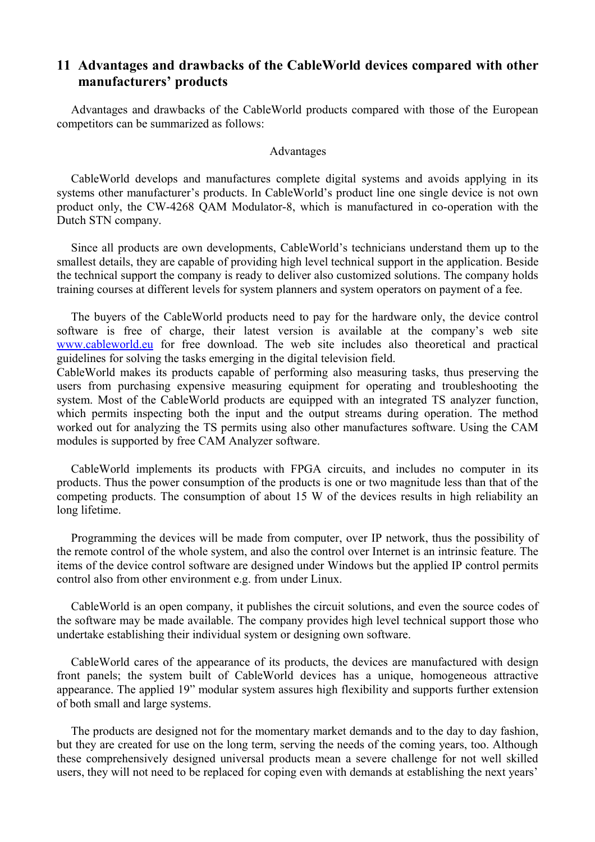### **11 Advantages and drawbacks of the CableWorld devices compared with other manufacturers' products**

Advantages and drawbacks of the CableWorld products compared with those of the European competitors can be summarized as follows:

#### Advantages

CableWorld develops and manufactures complete digital systems and avoids applying in its systems other manufacturer's products. In CableWorld's product line one single device is not own product only, the CW-4268 QAM Modulator-8, which is manufactured in co-operation with the Dutch STN company.

Since all products are own developments, CableWorld's technicians understand them up to the smallest details, they are capable of providing high level technical support in the application. Beside the technical support the company is ready to deliver also customized solutions. The company holds training courses at different levels for system planners and system operators on payment of a fee.

The buyers of the CableWorld products need to pay for the hardware only, the device control software is free of charge, their latest version is available at the company's web site [www.cableworld.eu](http://www.cableworld.eu/) for free download. The web site includes also theoretical and practical guidelines for solving the tasks emerging in the digital television field.

CableWorld makes its products capable of performing also measuring tasks, thus preserving the users from purchasing expensive measuring equipment for operating and troubleshooting the system. Most of the CableWorld products are equipped with an integrated TS analyzer function, which permits inspecting both the input and the output streams during operation. The method worked out for analyzing the TS permits using also other manufactures software. Using the CAM modules is supported by free CAM Analyzer software.

CableWorld implements its products with FPGA circuits, and includes no computer in its products. Thus the power consumption of the products is one or two magnitude less than that of the competing products. The consumption of about 15 W of the devices results in high reliability an long lifetime.

Programming the devices will be made from computer, over IP network, thus the possibility of the remote control of the whole system, and also the control over Internet is an intrinsic feature. The items of the device control software are designed under Windows but the applied IP control permits control also from other environment e.g. from under Linux.

CableWorld is an open company, it publishes the circuit solutions, and even the source codes of the software may be made available. The company provides high level technical support those who undertake establishing their individual system or designing own software.

CableWorld cares of the appearance of its products, the devices are manufactured with design front panels; the system built of CableWorld devices has a unique, homogeneous attractive appearance. The applied 19" modular system assures high flexibility and supports further extension of both small and large systems.

The products are designed not for the momentary market demands and to the day to day fashion, but they are created for use on the long term, serving the needs of the coming years, too. Although these comprehensively designed universal products mean a severe challenge for not well skilled users, they will not need to be replaced for coping even with demands at establishing the next years'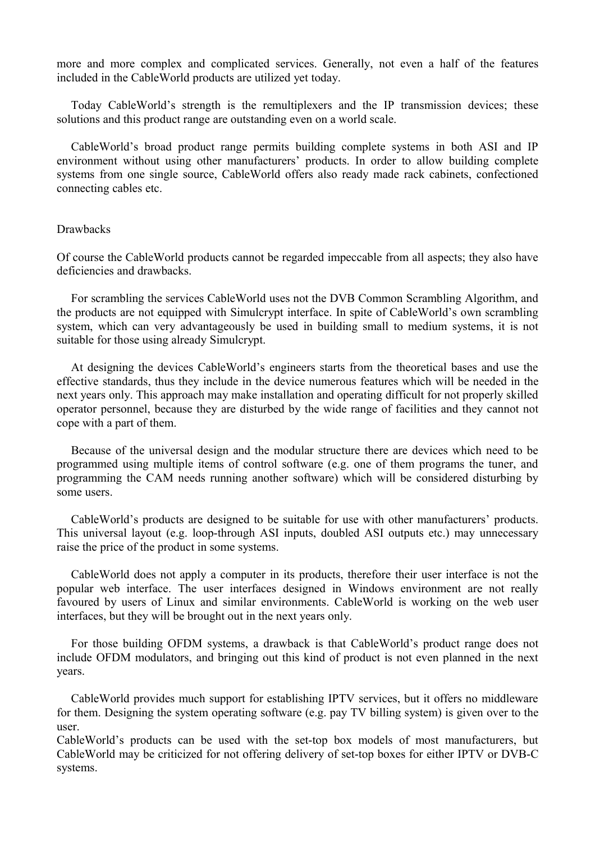more and more complex and complicated services. Generally, not even a half of the features included in the CableWorld products are utilized yet today.

Today CableWorld's strength is the remultiplexers and the IP transmission devices; these solutions and this product range are outstanding even on a world scale.

CableWorld's broad product range permits building complete systems in both ASI and IP environment without using other manufacturers' products. In order to allow building complete systems from one single source, CableWorld offers also ready made rack cabinets, confectioned connecting cables etc.

#### Drawbacks

Of course the CableWorld products cannot be regarded impeccable from all aspects; they also have deficiencies and drawbacks.

For scrambling the services CableWorld uses not the DVB Common Scrambling Algorithm, and the products are not equipped with Simulcrypt interface. In spite of CableWorld's own scrambling system, which can very advantageously be used in building small to medium systems, it is not suitable for those using already Simulcrypt.

At designing the devices CableWorld's engineers starts from the theoretical bases and use the effective standards, thus they include in the device numerous features which will be needed in the next years only. This approach may make installation and operating difficult for not properly skilled operator personnel, because they are disturbed by the wide range of facilities and they cannot not cope with a part of them.

Because of the universal design and the modular structure there are devices which need to be programmed using multiple items of control software (e.g. one of them programs the tuner, and programming the CAM needs running another software) which will be considered disturbing by some users.

CableWorld's products are designed to be suitable for use with other manufacturers' products. This universal layout (e.g. loop-through ASI inputs, doubled ASI outputs etc.) may unnecessary raise the price of the product in some systems.

CableWorld does not apply a computer in its products, therefore their user interface is not the popular web interface. The user interfaces designed in Windows environment are not really favoured by users of Linux and similar environments. CableWorld is working on the web user interfaces, but they will be brought out in the next years only.

For those building OFDM systems, a drawback is that CableWorld's product range does not include OFDM modulators, and bringing out this kind of product is not even planned in the next years.

CableWorld provides much support for establishing IPTV services, but it offers no middleware for them. Designing the system operating software (e.g. pay TV billing system) is given over to the user.

CableWorld's products can be used with the set-top box models of most manufacturers, but CableWorld may be criticized for not offering delivery of set-top boxes for either IPTV or DVB-C systems.